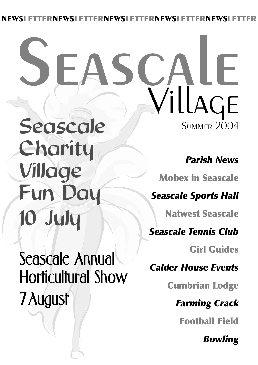### **NEWSLETTERNEWSLETTERNEWSLETTERNEWSLETTERNEWSLETTER**

# **SUMMER 2004** Seascale **Seascale** Village

Charity Village Fun Day 10 July

Seascale Annual Horticultural Show 7August

*Parish News*

**Mobex in Seascale**

*Seascale Sports Hall*

**Natwest Seascale**

*Seascale Tennis Club*

**Girl Guides**

*Calder House Events*

**Cumbrian Lodge**

*Farming Crack*

**Football Field**

*Bowling*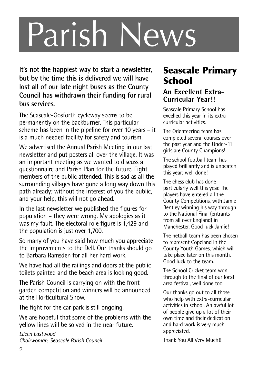# Parish News

**It's not the happiest way to start a newsletter, but by the time this is delivered we will have lost all of our late night buses as the County Council has withdrawn their funding for rural bus services.**

The Seascale-Gosforth cycleway seems to be permanently on the backburner. This particular scheme has been in the pipeline for over 10 years – it is a much needed facility for safety and tourism.

We advertised the Annual Parish Meeting in our last newsletter and put posters all over the village. It was an important meeting as we wanted to discuss a questionnaire and Parish Plan for the future. Eight members of the public attended. This is sad as all the surrounding villages have gone a long way down this path already; without the interest of you the public, and your help, this will not go ahead.

In the last newsletter we published the figures for population – they were wrong. My apologies as it was my fault. The electoral role figure is 1,429 and the population is just over 1,700.

So many of you have said how much you appreciate the improvements to the Dell. Our thanks should go to Barbara Ramsden for all her hard work.

We have had all the railings and doors at the public toilets painted and the beach area is looking good.

The Parish Council is carrying on with the front garden competition and winners will be announced at the Horticultural Show.

The fight for the car park is still ongoing.

We are hopeful that some of the problems with the yellow lines will be solved in the near future.

*Eileen Eastwood Chairwoman, Seascale Parish Council*

### **Seascale Primary School**

#### **An Excellent Extra-Curricular Year!!**

Seascale Primary School has excelled this year in its extracurricular activities.

The Orienteering team has completed several courses over the past year and the Under-11 girls are County Champions!

The school football team has played brilliantly and is unbeaten this year; well done!

The chess club has done particularly well this year. The players have entered all the County Competitions, with Jamie Bentley winning his way through to the National Final (entrants from all over England) in Manchester. Good luck Jamiel

The netball team has been chosen to represent Copeland in the County Youth Games, which will take place later on this month. Good luck to the team.

The School Cricket team won through to the final of our local area festival, well done too.

Our thanks go out to all those who help with extra-curricular activities in school. An awful lot of people give up a lot of their own time and their dedication and hard work is very much appreciated.

Thank You All Very Much!!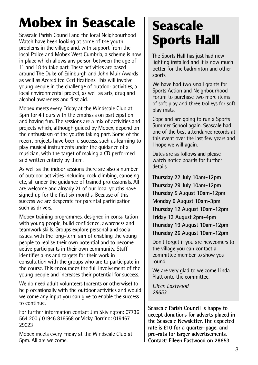### **Mobex in Seascale**

Seascale Parish Council and the local Neighbourhood Watch have been looking at some of the youth problems in the village and, with support from the local Police and Mobex West Cumbria, a scheme is now in place which allows any person between the age of 11 and 18 to take part. These activities are based around The Duke of Edinburgh and John Muir Awards as well as Accredited Certifications. This will involve young people in the challenge of outdoor activities, a local environmental project, as well as arts, drug and alcohol awareness and first aid.

Mobex meets every Friday at the Windscale Club at 5pm for 4 hours with the emphasis on participation and having fun. The sessions are a mix of activities and projects which, although guided by Mobex, depend on the enthusiasm of the youths taking part. Some of the recent projects have been a success, such as learning to play musical instruments under the guidance of a musician, with the target of making a CD performed and written entirely by them.

As well as the indoor sessions there are also a number of outdoor activities including rock climbing, canoeing etc, all under the guidance of trained professionals. All are welcome and already 21 of our local youths have signed up for the first six months. Because of this success we are desperate for parental participation such as drivers.

Mobex training programmes, designed in consultation with young people, build confidence, awareness and teamwork skills. Groups explore personal and social issues, with the long-term aim of enabling the young people to realise their own potential and to become active participants in their own community. Staff identifies aims and targets for their work in consultation with the groups who are to participate in the course. This encourages the full involvement of the young people and increases their potential for success.

We do need adult volunteers (parents or otherwise) to help occasionally with the outdoor activities and would welcome any input you can give to enable the success to continue.

For further information contact Jim Skivington: 07736 564 200 / 01946 816568 or Vicky Borrino: 019467 29023

Mobex meets every Friday at the Windscale Club at 5pm. All are welcome.

### **Seascale Sports Hall**

The Sports Hall has just had new lighting installed and it is now much better for the badminton and other sports.

We have had two small grants for Sports Action and Neighbourhood Forum to purchase two more items of soft play and three trolleys for soft play mats.

Copeland are going to run a Sports Summer School again. Seascale had one of the best attendance records at this event over the last few years and I hope we will again.

Dates are as follows and please watch notice boards for further details

**Thursday 22 July 10am-12pm Thursday 29 July 10am-12pm Thursday 5 August 10am-12pm Monday 9 August 10am-3pm Thursday 12 August 10am-12pm Friday 13 August 2pm-4pm Thursday 19 August 10am-12pm Thursday 26 August 10am-12pm**

Don't forget if you are newcomers to the village you can contact a committee member to show you round.

We are very glad to welcome Linda Platt onto the committee.

*Eileen Eastwood 28653*

**Seascale Parish Council is happy to accept donations for adverts placed in the Seascale Newsletter. The expected rate is £10 for a quarter-page, and pro-rata for larger advertisements. Contact: Eileen Eastwood on 28653.**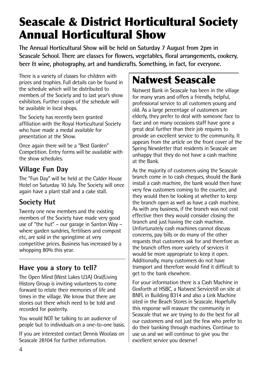### **Seascale & District Horticultural Society Annual Horticultural Show**

**The Annual Horticultural Show will be held on Saturday 7 August from 2pm in Seascale School. There are classes for flowers, vegetables, floral arrangements, cookery, beer & wine, photography, art and handicrafts. Something, in fact, for everyone.**

There is a variety of classes for children with prizes and trophies. Full details can be found in the schedule which will be distributed to members of the Society and to last year's show exhibitors. Further copies of the schedule will be available in local shops.

The Society has recently been granted affiliation with the Royal Horticultural Society who have made a medal available for presentation at the Show.

Once again there will be a "Best Garden" Competition. Entry forms will be available with the show schedules.

### **Village Fun Day**

The "Fun Day" will be held at the Calder House Hotel on Saturday 10 July. The Society will once again have a plant stall and a cake stall.

#### **Society Hut**

Twenty one new members and the existing members of the Society have made very good use of "the hut" – our garage in Santon Way – where garden sundries, fertilisers and compost etc, are sold in the springtime at very competitive prices. Business has increased by a whopping 80% this year.

#### **Have you a story to tell?**

The Open Mind (West Lakes U3A) Oral/Living History Group is inviting volunteers to come forward to relate their memories of life and times in the village. We know that there are stories out there which need to be told and recorded for posterity.

You would NOT be talking to an audience of people but to individuals on a one-to-one basis.

If you are interested contact Dennis Woolass on Seascale 28104 for further information.

### **Natwest Seascale**

Natwest Bank in Seascale has been in the village for many years and offers a friendly, helpful, professional service to all customers young and old. As a large percentage of customers are elderly, they prefer to deal with someone face to face and on many occasions staff have gone a great deal further than their job requires to provide an excellent service to the community. It appears from the article on the front cover of the Spring Newsletter that residents in Seascale are unhappy that they do not have a cash machine at the Bank.

As the majority of customers using the Seascale branch come in to cash cheques, should the Bank install a cash machine, the bank would then have very few customers coming to the counter, and they would then be looking at whether to keep the branch open as well as have a cash machine. As with any business, if the branch was not cost effective then they would consider closing the branch and just having the cash machine. Unfortunately cash machines cannot discuss concerns, pay bills or do many of the other requests that customers ask for and therefore as the branch offers more variety of services it would be more appropriate to keep it open. Additionally, many customers do not have transport and therefore would find it difficult to get to the bank elsewhere.

For your information there is a Cash Machine in Gosforth at HSBC, a Natwest Servicetill on site at BNFL in Building B314 and also a Link Machine sited in the Beach Stores in Seascale. Hopefully this response will reassure the community in Seascale that we are trying to do the best for all our customers and not just the few who prefer to do their banking through machines. Continue to use us and we will continue to give you the excellent service you deserve!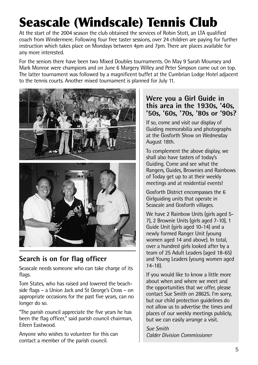### **Seascale (Windscale) Tennis Club**

At the start of the 2004 season the club obtained the services of Robin Stott, an LTA qualified coach from Windermere. Following four free taster sessions, over 24 children are paying for further instruction which takes place on Mondays between 4pm and 7pm. There are places available for any more interested.

For the seniors there have been two Mixed Doubles tournaments. On May 9 Sarah Mounsey and Mark Monroe were champions and on June 6 Margery Willey and Peter Simpson came out on top. The latter tournament was followed by a magnificent buffet at the Cumbrian Lodge Hotel adjacent to the tennis courts. Another mixed tournament is planned for July 11.



#### **Search is on for flag officer**

Seascale needs someone who can take charge of its flags.

Tom States, who has raised and lowered the beachside flags – a Union Jack and St George's Cross – on appropriate occasions for the past five years, can no longer do so.

"The parish council appreciate the five years he has been the flag officer," said parish council chairman, Eileen Eastwood.

Anyone who wishes to volunteer for this can contact a member of the parish council.

#### **Were you a Girl Guide in this area in the 1930s, '40s, '50s, '60s, '70s, '80s or '90s?**

If so, come and visit our display of Guiding memorabilia and photographs at the Gosforth Show on Wednesday August 18th.

To complement the above display, we shall also have tasters of today's Guiding. Come and see what the Rangers, Guides, Brownies and Rainbows of Today get up to at their weekly meetings and at residential events!

Gosforth District encompasses the 6 Girlguiding units that operate in Seascale and Gosforth villages.

We have 2 Rainbow Units (girls aged 5- 7), 2 Brownie Units (girls aged 7-10), 1 Guide Unit (girls aged 10-14) and a newly formed Ranger Unit (young women aged 14 and above). In total, over a hundred girls looked after by a team of 25 Adult Leaders (aged 18-65) and Young Leaders (young women aged 14-18).

If you would like to know a little more about when and where we meet and the opportunities that we offer, please contact Sue Smith on 28625. I'm sorry, but our child protection guidelines do not allow us to advertise the times and places of our weekly meetings publicly, but we can easily arrange a visit.

*Sue Smith Calder Division Commissioner*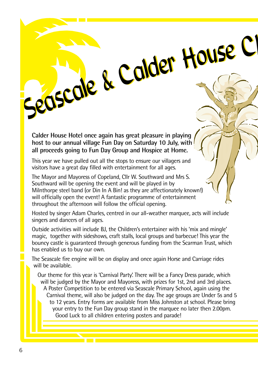**Calder House Hotel once again has great pleasure in playing host to our annual village Fun Day on Saturday 10 July, with all proceeds going to Fun Day Group and Hospice at Home.**

This year we have pulled out all the stops to ensure our villagers and visitors have a great day filled with entertainment for all ages.

The Mayor and Mayoress of Copeland, Cllr W. Southward and Mrs S. Southward will be opening the event and will be played in by Milnthorpe steel band (or Din In A Bin! as they are affectionately known!) will officially open the event! A fantastic programme of entertainment throughout the afternoon will follow the official opening.

Hosted by singer Adam Charles, centred in our all-weather marquee, acts will include singers and dancers of all ages.

Seascale & Calder House C

Outside activities will include BJ, the Children's entertainer with his 'mix and mingle' magic, together with sideshows, craft stalls, local groups and barbecue! This year the bouncy castle is guaranteed through generous funding from the Scarman Trust, which has enabled us to buy our own.

The Seascale fire engine will be on display and once again Horse and Carriage rides will be available.

Our theme for this year is 'Carnival Party'. There will be a Fancy Dress parade, which will be judged by the Mayor and Mayoress, with prizes for 1st, 2nd and 3rd places. A Poster Competition to be entered via Seascale Primary School, again using the Carnival theme, will also be judged on the day. The age groups are Under 5s and 5 to 12 years. Entry forms are available from Miss Johnston at school. Please bring your entry to the Fun Day group stand in the marquee no later then 2.00pm. Good Luck to all children entering posters and parade!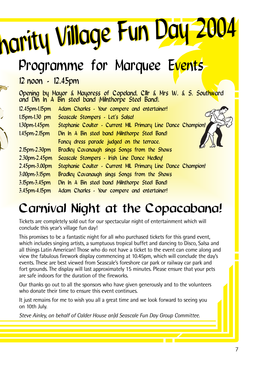**Seascale Stonpers 2 Let's Solsa!**<br>
Seascale Stonpers Copeland, Clin & Mrs W. & S. Southward<br>
Seascale Stonpers Copeland, Clin & Mrs W. & S. Southward<br>
Elspm-1.15pm Adam Charles - Your compere and entertainer!<br>
Inspirm-1.1

### Programme for Marquee Events

### 12 noon - 12.45pm

Opening by Mayor & Mayoress of Copeland, Cllr & Mrs W. & S. Southward and Din In A Bin steel band (Milnthorpe Steel Band). 12.45pm-1.15pm Adam Charles - Your compere and entertainer! 1.15pm-1.30 pm Seascale Stompers - Let's Salsa! 1.30pm-1.45pm Stephanie Coulter - Current MIL Primary Line Dance Champion! 1.45pm-2.15pm Din In A Bin steel band (Milnthorpe Steel Band) Fancy dress parade judged on the terrace. 2.15pm-2.30pm Bradley Cavanaugh sings Songs from the Shows 2.30pm-2.45pm Seascale Stompers - Irish Line Dance Medley! 2.45pm-3.00pm Stephanie Coulter - Current MIL Primary Line Dance Champion! 3.00pm-3.15pm Bradley Cavanaugh sings Songs from the Shows 3.15pm-3.45pm Din In A Bin steel band (Milnthorpe Steel Band) 3.45pm-4.15pm Adam Charles - Your compere and entertainer!

### Carnival Night at the Copacabana!

Tickets are completely sold out for our spectacular night of entertainment which will conclude this year's village fun day!

This promises to be a fantastic night for all who purchased tickets for this grand event, which includes singing artists, a sumptuous tropical buffet and dancing to Disco, Salsa and all things Latin American! Those who do not have a ticket to the event can come along and view the fabulous firework display commencing at 10.45pm, which will conclude the day's events. These are best viewed from Seascale's foreshore car park or railway car park and fort grounds. The display will last approximately 15 minutes. Please ensure that your pets are safe indoors for the duration of the fireworks.

Our thanks go out to all the sponsors who have given generously and to the volunteers who donate their time to ensure this event continues.

It just remains for me to wish you all a great time and we look forward to seeing you on 10th July.

*Steve Ainley, on behalf of Calder House an)d Seascale Fun Day Group Committee.*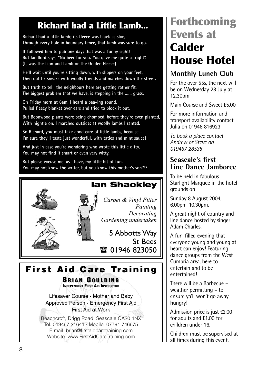### **Richard had a Little Lamb...**

**Richard had a little lamb; its fleece was black as sloe, Through every hole in boundary fence, that lamb was sure to go.**

**It followed him to pub one day; that was a funny sight! But landlord says, "No beer for you. You gave me quite a fright". (It was The Lion and Lamb or The Golden Fleece)**

**He'll wait until you're sitting down, with slippers on your feet, Then out he sneaks with woolly friends and marches down the street.**

**But truth to tell, the neighbours here are getting rather fit, The biggest problem that we have, is stepping in the …… grass.**

**On Friday morn at 6am, I heard a baa-ing sound, Pulled fleecy blanket over ears and tried to block it out,**

**But Boonwood plants were being chomped, before they're even planted, With nightie on, I marched outside; at woolly lambs I ranted.**

**So Richard, you must take good care of little lambs, because... I'm sure they'll taste just wonderful, with taties and mint sauce!**

**And just in case you're wondering who wrote this little ditty, You may not find it smart or even very witty.**

**But please excuse me, as I have, my little bit of fun. You may not know the writer, but you know this mother's son?!?**



*Carpet & Vinyl Fitter Painting Decorating Gardening undertaken*

5 Abbotts Way St Bees 1 01946 823050

**Fi rst Aid Care Training**

**BRIAN GOULDING INDEPENDENT FIRST AID INSTRUCTOR**

Lifesaver Course · Mother and Baby Approved Person · Emergency First Aid First Aid at Work

Beachcroft, Drigg Road, Seascale CA20 1NX Tel: 019467 21641 · Mobile: 07791 746675 E-mail: brian@firstaidcaretraining.com Website: www.FirstAidCareTraining.com

### **Forthcoming Events at Calder House Hotel**

#### **Monthly Lunch Club**

For the over 55s, the next will be on Wednesday 28 July at 12.30pm

Main Course and Sweet £5.00

For more information and transport availability contact Julia on 01946 816923

*To book a place contact Andrew or Steve on 019467 28538*

#### **Seascale's first Line Dance Jamboree**

To be held in fabulous Starlight Marquee in the hotel grounds on

Sunday 8 August 2004, 6.00pm-10.30pm.

A great night of country and line dance hosted by singer Adam Charles.

A fun-filled evening that everyone young and young at heart can enjoy! Featuring dance groups from the West Cumbria area, here to entertain and to be entertained!

There will be a Barbecue – weather permitting – to ensure ya'll won't go away hungry!

Admission price is just £2.00 for adults and £1.00 for children under 16.

Children must be supervised at all times during this event.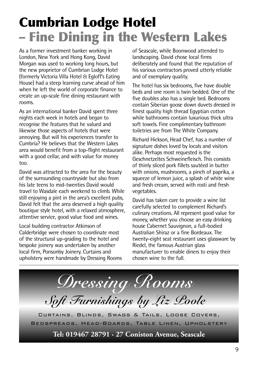### **Cumbrian Lodge Hotel – Fine Dining in the Western Lakes**

As a former investment banker working in London, New York and Hong Kong, David Morgan was used to working long hours, but the new proprietor of Cumbrian Lodge Hotel (formerly Victoria Villa Hotel & Egloff's Eating House) had a steep learning curve ahead of him when he left the world of corporate finance to create an up-scale fine dining restaurant with rooms.

As an international banker David spent three nights each week in hotels and began to recognise the features that he valued and likewise those aspects of hotels that were annoying. But will his experiences transfer to Cumbria? He believes that the Western Lakes area would benefit from a top-flight restaurant with a good cellar, and with value for money too.

David was attracted to the area for the beauty of the surrounding countryside but also from his late teens to mid-twenties David would travel to Wasdale each weekend to climb. While still enjoying a pint in the area's excellent pubs, David felt that the area deserved a high quality boutique style hotel, with a relaxed atmosphere, attentive service, good value food and wines.

Local building contractor Atkinson of Calderbridge were chosen to coordinate most of the structural up-grading to the hotel and bespoke joinery was undertaken by another local firm, Ponsonby Joinery. Curtains and upholstery were handmade by Dressing Rooms of Seascale, while Boonwood attended to landscaping. David chose local firms deliberately and found that the reputation of his various contractors proved utterly reliable and of exemplary quality.

The hotel has six bedrooms, five have double beds and one room is twin bedded. One of the five doubles also has a single bed. Bedrooms contain Siberian goose down duvets dressed in finest quality high thread Egyptian cotton while bathrooms contain luxurious thick ultra soft towels. Fine complimentary bathroom toiletries are from The White Company.

Richard Hickson, Head Chef, has a number of signature dishes loved by locals and visitors alike. Perhaps most requested is the Geschnetzeltes Schweinefleisch. This consists of thinly sliced pork fillets sautéed in butter with onions, mushrooms, a pinch of paprika, a squeeze of lemon juice, a splash of white wine and fresh cream, served with rosti and fresh vegetables.

David has taken care to provide a wine list carefully selected to complement Richard's culinary creations. All represent good value for money, whether you choose an easy drinking house Cabernet Sauvignon, a full-bodied Australian Shiraz or a fine Bordeaux. The twenty-eight seat restaurant uses glassware by Riedel, the famous Austrian glass manufacturer to enable diners to enjoy their chosen wine to the full.

*Dressing Rooms Soft Furnishings by Liz Poole* Curtains, Blinds, Swags & Tails, Loose Covers, Bedspreads, Head-Boards, Table Linen, Upholstery

**Tel: 019467 28791 · 27 Coniston Avenue, Seascale**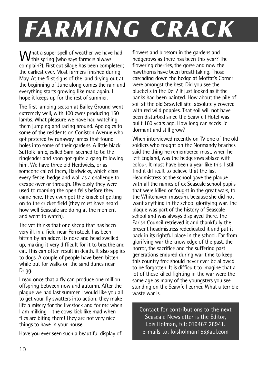# *FARMING CRACK*

What a super spell of weather we have had<br>this spring (who says farmers always complain?). First cut silage has been completed; the earliest ever. Most farmers finished during May. At the first signs of the land drying out at the beginning of June along comes the rain and everything starts growing like mad again. I hope it keeps up for the rest of summer.

The first lambing season at Bailey Ground went extremely well, with 100 ewes producing 160 lambs. What pleasure we have had watching them jumping and racing around. Apologies to some of the residents on Coniston Avenue who got pestered by runaway lambs that found holes into some of their gardens. A little black Suffolk lamb, called Sam, seemed to be the ringleader and soon got quite a gang following him. We have three old Herdwicks, or as someone called them, Hardwicks, which class every fence, hedge and wall as a challenge to escape over or through. Obviously they were used to roaming the open fells before they came here. They even got the knack of getting on to the cricket field (they must have heard how well Seascale are doing at the moment and went to watch).

The vet thinks that one sheep that has been very ill, in a field near Fernstock, has been bitten by an adder. Its nose and head swelled up, making it very difficult for it to breathe and eat. This can often result in death. It also applies to dogs. A couple of people have been bitten while out for walks on the sand dunes near Drigg.

I read once that a fly can produce one million offspring between now and autumn. After the plague we had last summer I would like you all to get your fly swatters into action; they make life a misery for the livestock and for me when I am milking – the cows kick like mad when flies are biting them! They are not very nice things to have in your house.

Have you ever seen such a beautiful display of

flowers and blossom in the gardens and hedgerows as there has been this year? The flowering cherries, the gorse and now the hawthorns have been breathtaking. Those cascading down the hedge at Moffat's Corner were amongst the best. Did you see the bluebells in the Dell? It just looked as if the banks had been painted. How about the pile of soil at the old Scawfell site, absolutely covered with red wild poppies. That soil will not have been disturbed since the Scawfell Hotel was built 160 years ago. How long can seeds lie dormant and still grow?

When interviewed recently on TV one of the old soldiers who fought on the Normandy beaches said the thing he remembered most, when he left England, was the hedgerows ablaze with colour. It must have been a year like this. I still find it difficult to believe that the last Headmistress at the school gave the plaque with all the names of ex Seascale school pupils that were killed or fought in the great wars, to the Whitehaven museum, because she did not want anything in the school glorifying war. The plaque was part of the history of Seascale school and was always displayed there. The Parish Council retrieved it and thankfully the present headmistress rededicated it and put it back in its rightful place in the school. Far from glorifying war the knowledge of the past, the horror, the sacrifice and the suffering past generations endured during war time to keep this country free should never ever be allowed to be forgotten. It is difficult to imagine that a lot of those killed fighting in the war were the same age as many of the youngsters you see standing on the Scawfell corner. What a terrible waste war is.

Contact for contributions to the next Seascale Newsletter is the Editor, Lois Holman, tel: 019467 28941. e-mails to: loisholman15@aol.com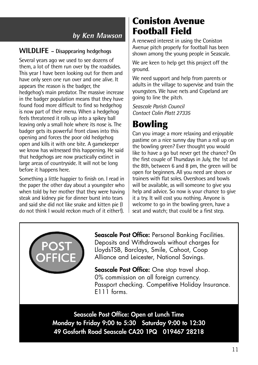#### **by Ken Mawson**

#### **WILDLIFE – Disappearing hedgehogs**

Several years ago we used to see dozens of them, a lot of them run over by the roadsides. This year I have been looking out for them and have only seen one run over and one alive. It appears the reason is the badger, the hedgehog's main predator. The massive increase in the badger population means that they have found food more difficult to find so hedgehog is now part of their menu. When a hedgehog feels threatened it rolls up into a spikey ball leaving only a small hole where its nose is. The badger gets its powerful front claws into this opening and forces the poor old hedgehog open and kills it with one bite. A gamekeeper we know has witnessed this happening. He said that hedgehogs are now practically extinct in large areas of countryside. It will not be long before it happens here.

Something a little happier to finish on. I read in the paper the other day about a youngster who when told by her mother that they were having steak and kidney pie for dinner burst into tears and said she did not like snake and kitten pie (I do not think I would reckon much of it either!).

### **Coniston Avenue Football Field**

A renewed interest in using the Coniston Avenue pitch properly for football has been shown among the young people in Seascale.

We are keen to help get this project off the ground.

We need support and help from parents or adults in the village to supervise and train the youngsters. We have nets and Copeland are going to line the pitch.

*Seascale Parish Council Contact Colin Platt 27335*

### **Bowling**

Can you image a more relaxing and enjoyable pastime on a nice sunny day than a roll up on the bowling green? Ever thought you would like to have a go but never get the chance? On the first couple of Thursdays in July, the 1st and the 8th, between 6 and 8 pm, the green will be open for beginners. All you need are shoes or trainers with flat soles. Overshoes and bowls will be available, as will someone to give you help and advice. So now is your chance to give it a try. It will cost you nothing. Anyone is welcome to go in the bowling green, have a seat and watch; that could be a first step.



**Seascale Post Office:** Personal Banking Facilities. Deposits and Withdrawals without charges for LloydsTSB, Barclays, Smile, Cahoot, Coop Alliance and Leicester, National Savings.

**Seascale Post Office:** One stop travel shop. 0% commission on all foreign currency. Passport checking. Competitive Holiday Insurance. E<sub>111</sub> forms.

**Seascale Post Office: Open at Lunch Time Monday to Friday 9:00 to 5:30 Saturday 9:00 to 12:30 49 Gosforth Road Seascale CA20 1PQ 019467 28218**